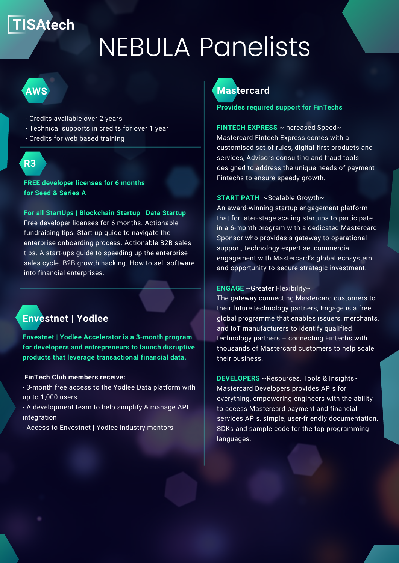## **TISAtech**

# NEBULA Panelists

## **AWS**

- Credits available over 2 years
- Technical supports in credits for over 1 year
- Credits for web based training

# **R3**

**FREE developer licenses for 6 months for Seed & Series A**

### **For all StartUps | Blockchain Startup | Data Startup**

Free developer licenses for 6 months. Actionable fundraising tips. Start-up guide to navigate the enterprise onboarding process. Actionable B2B sales tips. A start-ups guide to speeding up the enterprise sales cycle. B2B growth hacking. How to sell software into financial enterprises.

## **Envestnet | Yodlee**

**Envestnet | Yodlee Accelerator is a 3-month program for developers and entrepreneurs to launch disruptive products that leverage transactional financial data.**

### **FinTech Club members receive:**

- 3-month free access to the Yodlee Data platform with up to 1,000 users

- A development team to help simplify & manage API integration

- Access to Envestnet | Yodlee industry mentors



**Provides required support for FinTechs**

**FINTECH EXPRESS** ~Increased Speed~ Mastercard Fintech Express comes with a customised set of rules, digital-first products and services, Advisors consulting and fraud tools designed to address the unique needs of payment Fintechs to ensure speedy growth.

## **START PATH** ~Scalable Growth~

An award-winning startup engagement platform that for later-stage scaling startups to participate in a 6-month program with a dedicated Mastercard Sponsor who provides a gateway to operational support, technology expertise, commercial engagement with Mastercard's global ecosystem and opportunity to secure strategic investment.

**ENGAGE** ~Greater Flexibility~

The gateway connecting Mastercard customers to their future technology partners, Engage is a free global programme that enables issuers, merchants, and IoT manufacturers to identify qualified technology partners – connecting Fintechs with thousands of Mastercard customers to help scale their business.

**DEVELOPERS** ~Resources, Tools & Insights~ Mastercard Developers provides APIs for everything, empowering engineers with the ability to access Mastercard payment and financial services APIs, simple, user-friendly documentation, SDKs and sample code for the top programming languages.